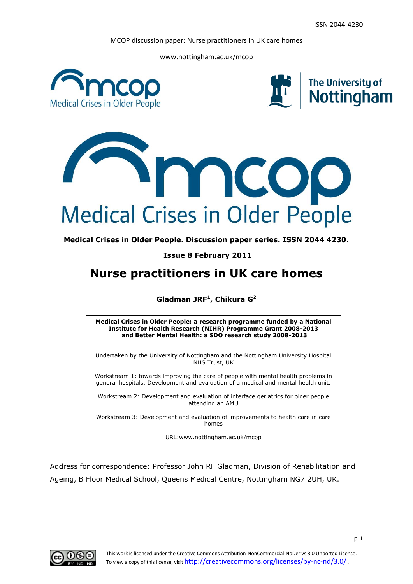www.nottingham.ac.uk/mcop







**Medical Crises in Older People. Discussion paper series. ISSN 2044 4230.**

**Issue 8 February 2011**

# **Nurse practitioners in UK care homes**

**Gladman JRF<sup>1</sup> , Chikura G<sup>2</sup>**

**Medical Crises in Older People: a research programme funded by a National Institute for Health Research (NIHR) Programme Grant 2008-2013 and Better Mental Health: a SDO research study 2008-2013**

Undertaken by the University of Nottingham and the Nottingham University Hospital NHS Trust, UK

Workstream 1: towards improving the care of people with mental health problems in general hospitals. Development and evaluation of a medical and mental health unit.

Workstream 2: Development and evaluation of interface geriatrics for older people attending an AMU

**n** Workstream 3: Development and evaluation of improvements to health care in care homes

URL:www.nottingham.ac.uk/mcop

Address for correspondence: Professor John RF Gladman, Division of Rehabilitation and Ageing, B Floor Medical School, Queens Medical Centre, Nottingham NG7 2UH, UK.

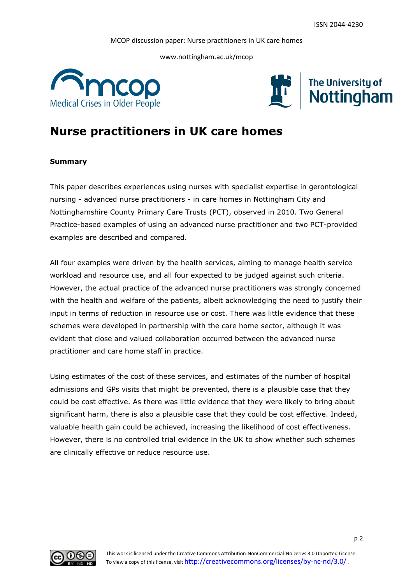www.nottingham.ac.uk/mcop





# **Nurse practitioners in UK care homes**

# **Summary**

This paper describes experiences using nurses with specialist expertise in gerontological nursing - advanced nurse practitioners - in care homes in Nottingham City and Nottinghamshire County Primary Care Trusts (PCT), observed in 2010. Two General Practice-based examples of using an advanced nurse practitioner and two PCT-provided examples are described and compared.

All four examples were driven by the health services, aiming to manage health service workload and resource use, and all four expected to be judged against such criteria. However, the actual practice of the advanced nurse practitioners was strongly concerned with the health and welfare of the patients, albeit acknowledging the need to justify their input in terms of reduction in resource use or cost. There was little evidence that these schemes were developed in partnership with the care home sector, although it was evident that close and valued collaboration occurred between the advanced nurse practitioner and care home staff in practice.

Using estimates of the cost of these services, and estimates of the number of hospital admissions and GPs visits that might be prevented, there is a plausible case that they could be cost effective. As there was little evidence that they were likely to bring about significant harm, there is also a plausible case that they could be cost effective. Indeed, valuable health gain could be achieved, increasing the likelihood of cost effectiveness. However, there is no controlled trial evidence in the UK to show whether such schemes are clinically effective or reduce resource use.

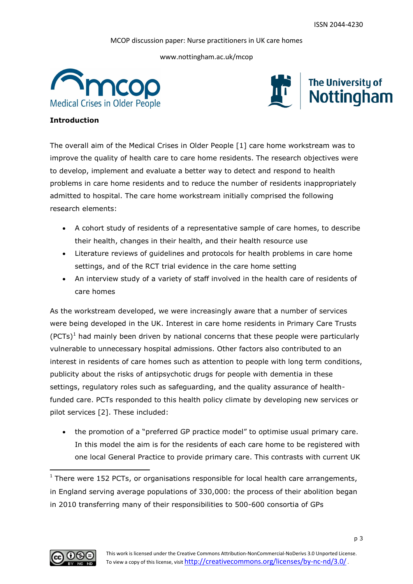www.nottingham.ac.uk/mcop





# **Introduction**

The overall aim of the Medical Crises in Older People [1] care home workstream was to improve the quality of health care to care home residents. The research objectives were to develop, implement and evaluate a better way to detect and respond to health problems in care home residents and to reduce the number of residents inappropriately admitted to hospital. The care home workstream initially comprised the following research elements:

- A cohort study of residents of a representative sample of care homes, to describe their health, changes in their health, and their health resource use
- Literature reviews of guidelines and protocols for health problems in care home settings, and of the RCT trial evidence in the care home setting
- An interview study of a variety of staff involved in the health care of residents of care homes

As the workstream developed, we were increasingly aware that a number of services were being developed in the UK. Interest in care home residents in Primary Care Trusts  $(PCTs)^1$  had mainly been driven by national concerns that these people were particularly vulnerable to unnecessary hospital admissions. Other factors also contributed to an interest in residents of care homes such as attention to people with long term conditions, publicity about the risks of antipsychotic drugs for people with dementia in these settings, regulatory roles such as safeguarding, and the quality assurance of healthfunded care. PCTs responded to this health policy climate by developing new services or pilot services [2]. These included:

 the promotion of a "preferred GP practice model" to optimise usual primary care. In this model the aim is for the residents of each care home to be registered with one local General Practice to provide primary care. This contrasts with current UK



1

 $1$  There were 152 PCTs, or organisations responsible for local health care arrangements, in England serving average populations of 330,000: the process of their abolition began in 2010 transferring many of their responsibilities to 500-600 consortia of GPs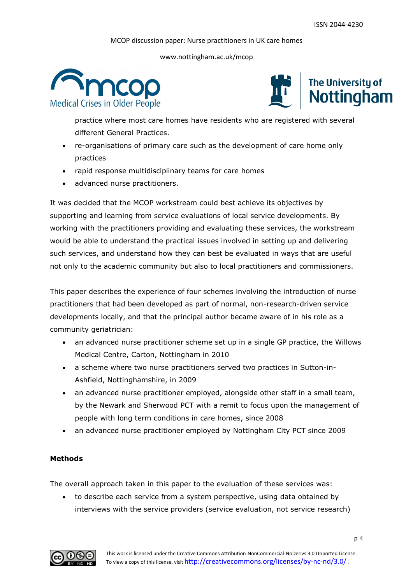www.nottingham.ac.uk/mcop





practice where most care homes have residents who are registered with several different General Practices.

- re-organisations of primary care such as the development of care home only practices
- rapid response multidisciplinary teams for care homes
- advanced nurse practitioners.

It was decided that the MCOP workstream could best achieve its objectives by supporting and learning from service evaluations of local service developments. By working with the practitioners providing and evaluating these services, the workstream would be able to understand the practical issues involved in setting up and delivering such services, and understand how they can best be evaluated in ways that are useful not only to the academic community but also to local practitioners and commissioners.

This paper describes the experience of four schemes involving the introduction of nurse practitioners that had been developed as part of normal, non-research-driven service developments locally, and that the principal author became aware of in his role as a community geriatrician:

- an advanced nurse practitioner scheme set up in a single GP practice, the Willows Medical Centre, Carton, Nottingham in 2010
- a scheme where two nurse practitioners served two practices in Sutton-in-Ashfield, Nottinghamshire, in 2009
- an advanced nurse practitioner employed, alongside other staff in a small team, by the Newark and Sherwood PCT with a remit to focus upon the management of people with long term conditions in care homes, since 2008
- an advanced nurse practitioner employed by Nottingham City PCT since 2009

# **Methods**

The overall approach taken in this paper to the evaluation of these services was:

• to describe each service from a system perspective, using data obtained by interviews with the service providers (service evaluation, not service research)

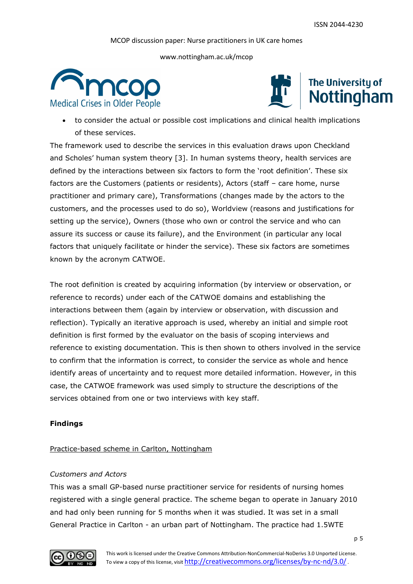www.nottingham.ac.uk/mcop





 to consider the actual or possible cost implications and clinical health implications of these services.

The framework used to describe the services in this evaluation draws upon Checkland and Scholes' human system theory [3]. In human systems theory, health services are defined by the interactions between six factors to form the 'root definition'. These six factors are the Customers (patients or residents), Actors (staff – care home, nurse practitioner and primary care), Transformations (changes made by the actors to the customers, and the processes used to do so), Worldview (reasons and justifications for setting up the service), Owners (those who own or control the service and who can assure its success or cause its failure), and the Environment (in particular any local factors that uniquely facilitate or hinder the service). These six factors are sometimes known by the acronym CATWOE.

The root definition is created by acquiring information (by interview or observation, or reference to records) under each of the CATWOE domains and establishing the interactions between them (again by interview or observation, with discussion and reflection). Typically an iterative approach is used, whereby an initial and simple root definition is first formed by the evaluator on the basis of scoping interviews and reference to existing documentation. This is then shown to others involved in the service to confirm that the information is correct, to consider the service as whole and hence identify areas of uncertainty and to request more detailed information. However, in this case, the CATWOE framework was used simply to structure the descriptions of the services obtained from one or two interviews with key staff.

# **Findings**

# Practice-based scheme in Carlton, Nottingham

### *Customers and Actors*

This was a small GP-based nurse practitioner service for residents of nursing homes registered with a single general practice. The scheme began to operate in January 2010 and had only been running for 5 months when it was studied. It was set in a small General Practice in Carlton - an urban part of Nottingham. The practice had 1.5WTE

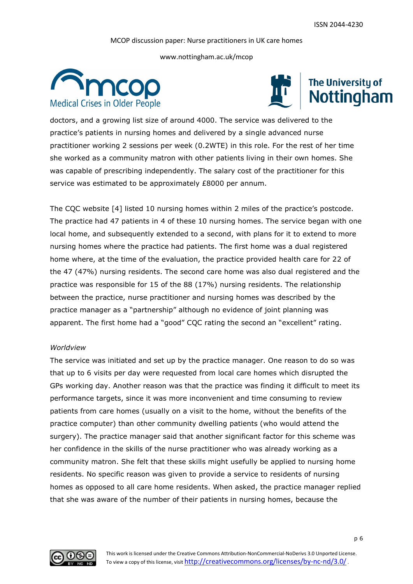www.nottingham.ac.uk/mcop





doctors, and a growing list size of around 4000. The service was delivered to the practice"s patients in nursing homes and delivered by a single advanced nurse practitioner working 2 sessions per week (0.2WTE) in this role. For the rest of her time she worked as a community matron with other patients living in their own homes. She was capable of prescribing independently. The salary cost of the practitioner for this service was estimated to be approximately £8000 per annum.

The CQC website [4] listed 10 nursing homes within 2 miles of the practice"s postcode. The practice had 47 patients in 4 of these 10 nursing homes. The service began with one local home, and subsequently extended to a second, with plans for it to extend to more nursing homes where the practice had patients. The first home was a dual registered home where, at the time of the evaluation, the practice provided health care for 22 of the 47 (47%) nursing residents. The second care home was also dual registered and the practice was responsible for 15 of the 88 (17%) nursing residents. The relationship between the practice, nurse practitioner and nursing homes was described by the practice manager as a "partnership" although no evidence of joint planning was apparent. The first home had a "good" CQC rating the second an "excellent" rating.

## *Worldview*

The service was initiated and set up by the practice manager. One reason to do so was that up to 6 visits per day were requested from local care homes which disrupted the GPs working day. Another reason was that the practice was finding it difficult to meet its performance targets, since it was more inconvenient and time consuming to review patients from care homes (usually on a visit to the home, without the benefits of the practice computer) than other community dwelling patients (who would attend the surgery). The practice manager said that another significant factor for this scheme was her confidence in the skills of the nurse practitioner who was already working as a community matron. She felt that these skills might usefully be applied to nursing home residents. No specific reason was given to provide a service to residents of nursing homes as opposed to all care home residents. When asked, the practice manager replied that she was aware of the number of their patients in nursing homes, because the

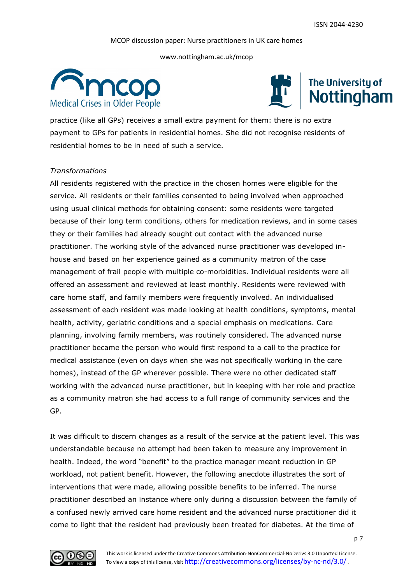www.nottingham.ac.uk/mcop





practice (like all GPs) receives a small extra payment for them: there is no extra payment to GPs for patients in residential homes. She did not recognise residents of residential homes to be in need of such a service.

# *Transformations*

All residents registered with the practice in the chosen homes were eligible for the service. All residents or their families consented to being involved when approached using usual clinical methods for obtaining consent: some residents were targeted because of their long term conditions, others for medication reviews, and in some cases they or their families had already sought out contact with the advanced nurse practitioner. The working style of the advanced nurse practitioner was developed inhouse and based on her experience gained as a community matron of the case management of frail people with multiple co-morbidities. Individual residents were all offered an assessment and reviewed at least monthly. Residents were reviewed with care home staff, and family members were frequently involved. An individualised assessment of each resident was made looking at health conditions, symptoms, mental health, activity, geriatric conditions and a special emphasis on medications. Care planning, involving family members, was routinely considered. The advanced nurse practitioner became the person who would first respond to a call to the practice for medical assistance (even on days when she was not specifically working in the care homes), instead of the GP wherever possible. There were no other dedicated staff working with the advanced nurse practitioner, but in keeping with her role and practice as a community matron she had access to a full range of community services and the GP.

It was difficult to discern changes as a result of the service at the patient level. This was understandable because no attempt had been taken to measure any improvement in health. Indeed, the word "benefit" to the practice manager meant reduction in GP workload, not patient benefit. However, the following anecdote illustrates the sort of interventions that were made, allowing possible benefits to be inferred. The nurse practitioner described an instance where only during a discussion between the family of a confused newly arrived care home resident and the advanced nurse practitioner did it come to light that the resident had previously been treated for diabetes. At the time of

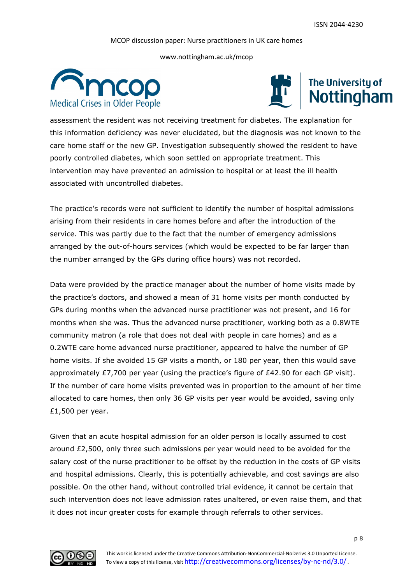www.nottingham.ac.uk/mcop





assessment the resident was not receiving treatment for diabetes. The explanation for this information deficiency was never elucidated, but the diagnosis was not known to the care home staff or the new GP. Investigation subsequently showed the resident to have poorly controlled diabetes, which soon settled on appropriate treatment. This intervention may have prevented an admission to hospital or at least the ill health associated with uncontrolled diabetes.

The practice's records were not sufficient to identify the number of hospital admissions arising from their residents in care homes before and after the introduction of the service. This was partly due to the fact that the number of emergency admissions arranged by the out-of-hours services (which would be expected to be far larger than the number arranged by the GPs during office hours) was not recorded.

Data were provided by the practice manager about the number of home visits made by the practice's doctors, and showed a mean of 31 home visits per month conducted by GPs during months when the advanced nurse practitioner was not present, and 16 for months when she was. Thus the advanced nurse practitioner, working both as a 0.8WTE community matron (a role that does not deal with people in care homes) and as a 0.2WTE care home advanced nurse practitioner, appeared to halve the number of GP home visits. If she avoided 15 GP visits a month, or 180 per year, then this would save approximately £7,700 per year (using the practice's figure of £42.90 for each GP visit). If the number of care home visits prevented was in proportion to the amount of her time allocated to care homes, then only 36 GP visits per year would be avoided, saving only £1,500 per year.

Given that an acute hospital admission for an older person is locally assumed to cost around £2,500, only three such admissions per year would need to be avoided for the salary cost of the nurse practitioner to be offset by the reduction in the costs of GP visits and hospital admissions. Clearly, this is potentially achievable, and cost savings are also possible. On the other hand, without controlled trial evidence, it cannot be certain that such intervention does not leave admission rates unaltered, or even raise them, and that it does not incur greater costs for example through referrals to other services.

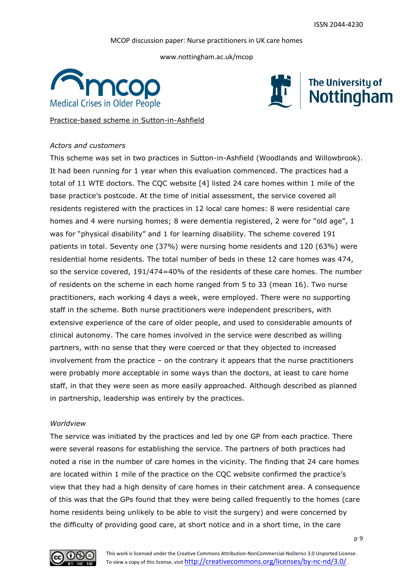www.nottingham.ac.uk/mcop





Practice-based scheme in Sutton-in-Ashfield

# *Actors and customers*

This scheme was set in two practices in Sutton-in-Ashfield (Woodlands and Willowbrook). It had been running for 1 year when this evaluation commenced. The practices had a total of 11 WTE doctors. The CQC website [4] listed 24 care homes within 1 mile of the base practice"s postcode. At the time of initial assessment, the service covered all residents registered with the practices in 12 local care homes: 8 were residential care homes and 4 were nursing homes; 8 were dementia registered, 2 were for "old age", 1 was for "physical disability" and 1 for learning disability. The scheme covered 191 patients in total. Seventy one (37%) were nursing home residents and 120 (63%) were residential home residents. The total number of beds in these 12 care homes was 474, so the service covered, 191/474=40% of the residents of these care homes. The number of residents on the scheme in each home ranged from 5 to 33 (mean 16). Two nurse practitioners, each working 4 days a week, were employed. There were no supporting staff in the scheme. Both nurse practitioners were independent prescribers, with extensive experience of the care of older people, and used to considerable amounts of clinical autonomy. The care homes involved in the service were described as willing partners, with no sense that they were coerced or that they objected to increased involvement from the practice – on the contrary it appears that the nurse practitioners were probably more acceptable in some ways than the doctors, at least to care home staff, in that they were seen as more easily approached. Although described as planned in partnership, leadership was entirely by the practices.

# *Worldview*

The service was initiated by the practices and led by one GP from each practice. There were several reasons for establishing the service. The partners of both practices had noted a rise in the number of care homes in the vicinity. The finding that 24 care homes are located within 1 mile of the practice on the CQC website confirmed the practice"s view that they had a high density of care homes in their catchment area. A consequence of this was that the GPs found that they were being called frequently to the homes (care home residents being unlikely to be able to visit the surgery) and were concerned by the difficulty of providing good care, at short notice and in a short time, in the care

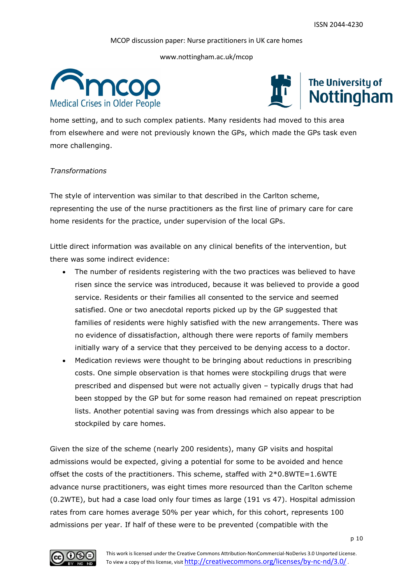www.nottingham.ac.uk/mcop





home setting, and to such complex patients. Many residents had moved to this area from elsewhere and were not previously known the GPs, which made the GPs task even more challenging.

# *Transformations*

The style of intervention was similar to that described in the Carlton scheme, representing the use of the nurse practitioners as the first line of primary care for care home residents for the practice, under supervision of the local GPs.

Little direct information was available on any clinical benefits of the intervention, but there was some indirect evidence:

- The number of residents registering with the two practices was believed to have risen since the service was introduced, because it was believed to provide a good service. Residents or their families all consented to the service and seemed satisfied. One or two anecdotal reports picked up by the GP suggested that families of residents were highly satisfied with the new arrangements. There was no evidence of dissatisfaction, although there were reports of family members initially wary of a service that they perceived to be denying access to a doctor.
- Medication reviews were thought to be bringing about reductions in prescribing costs. One simple observation is that homes were stockpiling drugs that were prescribed and dispensed but were not actually given – typically drugs that had been stopped by the GP but for some reason had remained on repeat prescription lists. Another potential saving was from dressings which also appear to be stockpiled by care homes.

Given the size of the scheme (nearly 200 residents), many GP visits and hospital admissions would be expected, giving a potential for some to be avoided and hence offset the costs of the practitioners. This scheme, staffed with 2\*0.8WTE=1.6WTE advance nurse practitioners, was eight times more resourced than the Carlton scheme (0.2WTE), but had a case load only four times as large (191 vs 47). Hospital admission rates from care homes average 50% per year which, for this cohort, represents 100 admissions per year. If half of these were to be prevented (compatible with the

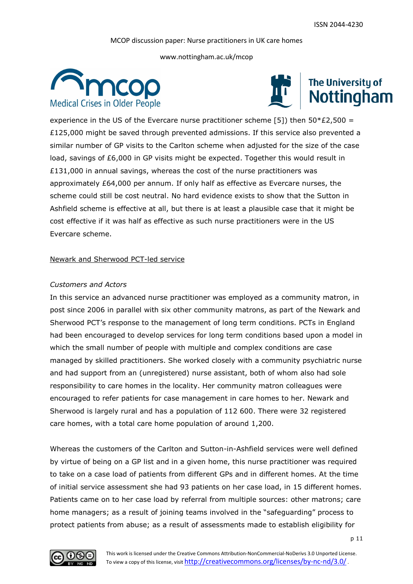www.nottingham.ac.uk/mcop





experience in the US of the Evercare nurse practitioner scheme [5]) then  $50*£2,500 =$ £125,000 might be saved through prevented admissions. If this service also prevented a similar number of GP visits to the Carlton scheme when adjusted for the size of the case load, savings of £6,000 in GP visits might be expected. Together this would result in £131,000 in annual savings, whereas the cost of the nurse practitioners was approximately £64,000 per annum. If only half as effective as Evercare nurses, the scheme could still be cost neutral. No hard evidence exists to show that the Sutton in Ashfield scheme is effective at all, but there is at least a plausible case that it might be cost effective if it was half as effective as such nurse practitioners were in the US Evercare scheme.

#### Newark and Sherwood PCT-led service

# *Customers and Actors*

In this service an advanced nurse practitioner was employed as a community matron, in post since 2006 in parallel with six other community matrons, as part of the Newark and Sherwood PCT"s response to the management of long term conditions. PCTs in England had been encouraged to develop services for long term conditions based upon a model in which the small number of people with multiple and complex conditions are case managed by skilled practitioners. She worked closely with a community psychiatric nurse and had support from an (unregistered) nurse assistant, both of whom also had sole responsibility to care homes in the locality. Her community matron colleagues were encouraged to refer patients for case management in care homes to her. Newark and Sherwood is largely rural and has a population of 112 600. There were 32 registered care homes, with a total care home population of around 1,200.

Whereas the customers of the Carlton and Sutton-in-Ashfield services were well defined by virtue of being on a GP list and in a given home, this nurse practitioner was required to take on a case load of patients from different GPs and in different homes. At the time of initial service assessment she had 93 patients on her case load, in 15 different homes. Patients came on to her case load by referral from multiple sources: other matrons; care home managers; as a result of joining teams involved in the "safeguarding" process to protect patients from abuse; as a result of assessments made to establish eligibility for

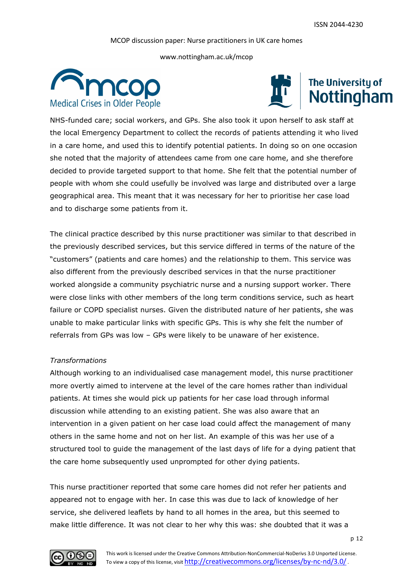www.nottingham.ac.uk/mcop





NHS-funded care; social workers, and GPs. She also took it upon herself to ask staff at the local Emergency Department to collect the records of patients attending it who lived in a care home, and used this to identify potential patients. In doing so on one occasion she noted that the majority of attendees came from one care home, and she therefore decided to provide targeted support to that home. She felt that the potential number of people with whom she could usefully be involved was large and distributed over a large geographical area. This meant that it was necessary for her to prioritise her case load and to discharge some patients from it.

The clinical practice described by this nurse practitioner was similar to that described in the previously described services, but this service differed in terms of the nature of the "customers" (patients and care homes) and the relationship to them. This service was also different from the previously described services in that the nurse practitioner worked alongside a community psychiatric nurse and a nursing support worker. There were close links with other members of the long term conditions service, such as heart failure or COPD specialist nurses. Given the distributed nature of her patients, she was unable to make particular links with specific GPs. This is why she felt the number of referrals from GPs was low – GPs were likely to be unaware of her existence.

# *Transformations*

Although working to an individualised case management model, this nurse practitioner more overtly aimed to intervene at the level of the care homes rather than individual patients. At times she would pick up patients for her case load through informal discussion while attending to an existing patient. She was also aware that an intervention in a given patient on her case load could affect the management of many others in the same home and not on her list. An example of this was her use of a structured tool to guide the management of the last days of life for a dying patient that the care home subsequently used unprompted for other dying patients.

This nurse practitioner reported that some care homes did not refer her patients and appeared not to engage with her. In case this was due to lack of knowledge of her service, she delivered leaflets by hand to all homes in the area, but this seemed to make little difference. It was not clear to her why this was: she doubted that it was a

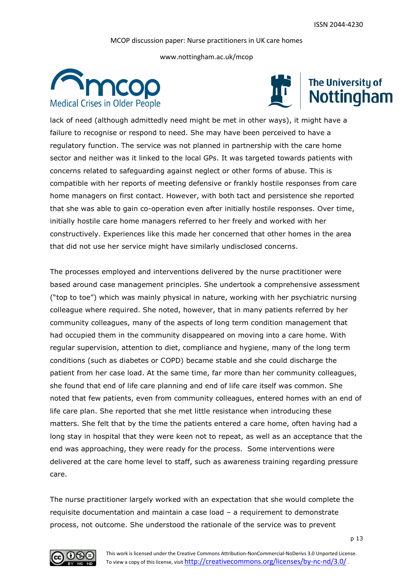www.nottingham.ac.uk/mcop





lack of need (although admittedly need might be met in other ways), it might have a failure to recognise or respond to need. She may have been perceived to have a regulatory function. The service was not planned in partnership with the care home sector and neither was it linked to the local GPs. It was targeted towards patients with concerns related to safeguarding against neglect or other forms of abuse. This is compatible with her reports of meeting defensive or frankly hostile responses from care home managers on first contact. However, with both tact and persistence she reported that she was able to gain co-operation even after initially hostile responses. Over time, initially hostile care home managers referred to her freely and worked with her constructively. Experiences like this made her concerned that other homes in the area that did not use her service might have similarly undisclosed concerns.

The processes employed and interventions delivered by the nurse practitioner were based around case management principles. She undertook a comprehensive assessment ("top to toe") which was mainly physical in nature, working with her psychiatric nursing colleague where required. She noted, however, that in many patients referred by her community colleagues, many of the aspects of long term condition management that had occupied them in the community disappeared on moving into a care home. With regular supervision, attention to diet, compliance and hygiene, many of the long term conditions (such as diabetes or COPD) became stable and she could discharge the patient from her case load. At the same time, far more than her community colleagues, she found that end of life care planning and end of life care itself was common. She noted that few patients, even from community colleagues, entered homes with an end of life care plan. She reported that she met little resistance when introducing these matters. She felt that by the time the patients entered a care home, often having had a long stay in hospital that they were keen not to repeat, as well as an acceptance that the end was approaching, they were ready for the process. Some interventions were delivered at the care home level to staff, such as awareness training regarding pressure care.

The nurse practitioner largely worked with an expectation that she would complete the requisite documentation and maintain a case load – a requirement to demonstrate process, not outcome. She understood the rationale of the service was to prevent

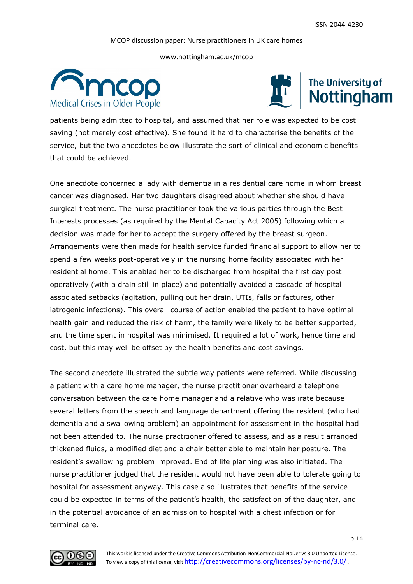www.nottingham.ac.uk/mcop





patients being admitted to hospital, and assumed that her role was expected to be cost saving (not merely cost effective). She found it hard to characterise the benefits of the service, but the two anecdotes below illustrate the sort of clinical and economic benefits that could be achieved.

One anecdote concerned a lady with dementia in a residential care home in whom breast cancer was diagnosed. Her two daughters disagreed about whether she should have surgical treatment. The nurse practitioner took the various parties through the Best Interests processes (as required by the Mental Capacity Act 2005) following which a decision was made for her to accept the surgery offered by the breast surgeon. Arrangements were then made for health service funded financial support to allow her to spend a few weeks post-operatively in the nursing home facility associated with her residential home. This enabled her to be discharged from hospital the first day post operatively (with a drain still in place) and potentially avoided a cascade of hospital associated setbacks (agitation, pulling out her drain, UTIs, falls or factures, other iatrogenic infections). This overall course of action enabled the patient to have optimal health gain and reduced the risk of harm, the family were likely to be better supported, and the time spent in hospital was minimised. It required a lot of work, hence time and cost, but this may well be offset by the health benefits and cost savings.

The second anecdote illustrated the subtle way patients were referred. While discussing a patient with a care home manager, the nurse practitioner overheard a telephone conversation between the care home manager and a relative who was irate because several letters from the speech and language department offering the resident (who had dementia and a swallowing problem) an appointment for assessment in the hospital had not been attended to. The nurse practitioner offered to assess, and as a result arranged thickened fluids, a modified diet and a chair better able to maintain her posture. The resident"s swallowing problem improved. End of life planning was also initiated. The nurse practitioner judged that the resident would not have been able to tolerate going to hospital for assessment anyway. This case also illustrates that benefits of the service could be expected in terms of the patient"s health, the satisfaction of the daughter, and in the potential avoidance of an admission to hospital with a chest infection or for terminal care.



This work is licensed under the Creative Commons Attribution-NonCommercial-NoDerivs 3.0 Unported License. To view a copy of this license, visit http://creativecommons.org/licenses/by-nc-nd/3.0/.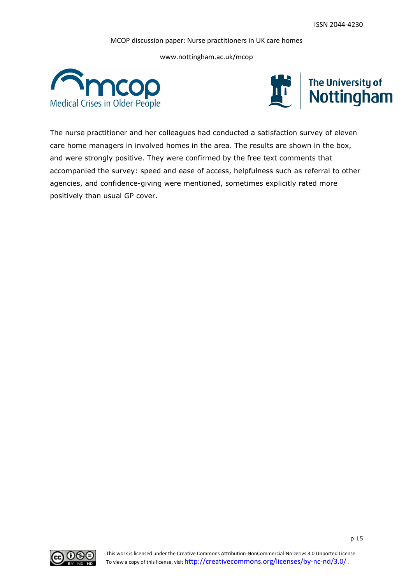www.nottingham.ac.uk/mcop





The nurse practitioner and her colleagues had conducted a satisfaction survey of eleven care home managers in involved homes in the area. The results are shown in the box, and were strongly positive. They were confirmed by the free text comments that accompanied the survey: speed and ease of access, helpfulness such as referral to other agencies, and confidence-giving were mentioned, sometimes explicitly rated more positively than usual GP cover.

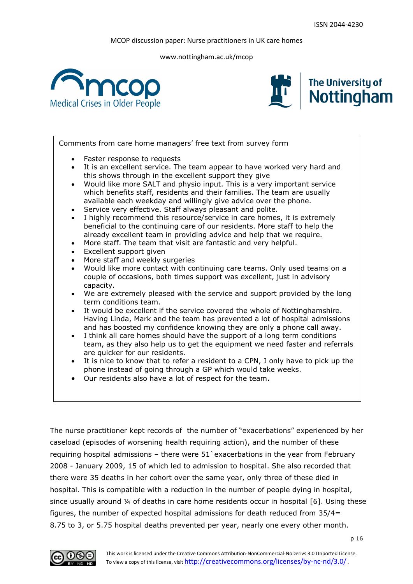www.nottingham.ac.uk/mcop





Comments from care home managers" free text from survey form

- Faster response to requests
- It is an excellent service. The team appear to have worked very hard and this shows through in the excellent support they give
- Would like more SALT and physio input. This is a very important service which benefits staff, residents and their families. The team are usually available each weekday and willingly give advice over the phone.
- Service very effective. Staff always pleasant and polite.
- I highly recommend this resource/service in care homes, it is extremely beneficial to the continuing care of our residents. More staff to help the already excellent team in providing advice and help that we require.
- More staff. The team that visit are fantastic and very helpful.
- Excellent support given
- More staff and weekly surgeries
- Would like more contact with continuing care teams. Only used teams on a couple of occasions, both times support was excellent, just in advisory capacity.
- We are extremely pleased with the service and support provided by the long term conditions team.
- It would be excellent if the service covered the whole of Nottinghamshire. Having Linda, Mark and the team has prevented a lot of hospital admissions and has boosted my confidence knowing they are only a phone call away.
- I think all care homes should have the support of a long term conditions team, as they also help us to get the equipment we need faster and referrals are quicker for our residents.
- It is nice to know that to refer a resident to a CPN, I only have to pick up the phone instead of going through a GP which would take weeks.
- Our residents also have a lot of respect for the team.

The nurse practitioner kept records of the number of "exacerbations" experienced by her caseload (episodes of worsening health requiring action), and the number of these requiring hospital admissions – there were 51`exacerbations in the year from February 2008 - January 2009, 15 of which led to admission to hospital. She also recorded that there were 35 deaths in her cohort over the same year, only three of these died in hospital. This is compatible with a reduction in the number of people dying in hospital, since usually around  $\frac{1}{4}$  of deaths in care home residents occur in hospital [6]. Using these figures, the number of expected hospital admissions for death reduced from 35/4= 8.75 to 3, or 5.75 hospital deaths prevented per year, nearly one every other month.

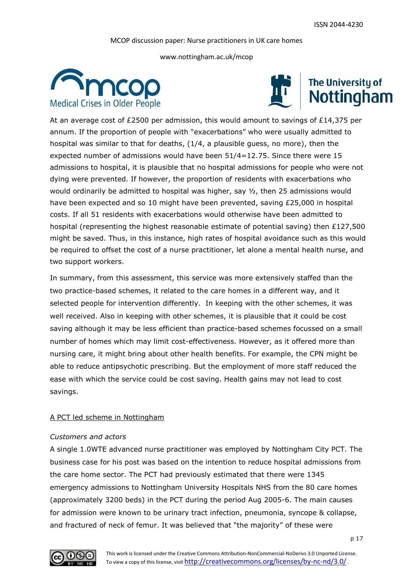www.nottingham.ac.uk/mcop





At an average cost of £2500 per admission, this would amount to savings of £14,375 per annum. If the proportion of people with "exacerbations" who were usually admitted to hospital was similar to that for deaths, (1/4, a plausible guess, no more), then the expected number of admissions would have been 51/4=12.75. Since there were 15 admissions to hospital, it is plausible that no hospital admissions for people who were not dying were prevented. If however, the proportion of residents with exacerbations who would ordinarily be admitted to hospital was higher, say  $\frac{1}{2}$ , then 25 admissions would have been expected and so 10 might have been prevented, saving £25,000 in hospital costs. If all 51 residents with exacerbations would otherwise have been admitted to hospital (representing the highest reasonable estimate of potential saving) then  $£127,500$ might be saved. Thus, in this instance, high rates of hospital avoidance such as this would be required to offset the cost of a nurse practitioner, let alone a mental health nurse, and two support workers.

In summary, from this assessment, this service was more extensively staffed than the two practice-based schemes, it related to the care homes in a different way, and it selected people for intervention differently. In keeping with the other schemes, it was well received. Also in keeping with other schemes, it is plausible that it could be cost saving although it may be less efficient than practice-based schemes focussed on a small number of homes which may limit cost-effectiveness. However, as it offered more than nursing care, it might bring about other health benefits. For example, the CPN might be able to reduce antipsychotic prescribing. But the employment of more staff reduced the ease with which the service could be cost saving. Health gains may not lead to cost savings.

# A PCT led scheme in Nottingham

# *Customers and actors*

A single 1.0WTE advanced nurse practitioner was employed by Nottingham City PCT. The business case for his post was based on the intention to reduce hospital admissions from the care home sector. The PCT had previously estimated that there were 1345 emergency admissions to Nottingham University Hospitals NHS from the 80 care homes (approximately 3200 beds) in the PCT during the period Aug 2005-6. The main causes for admission were known to be urinary tract infection, pneumonia, syncope & collapse, and fractured of neck of femur. It was believed that "the majority" of these were

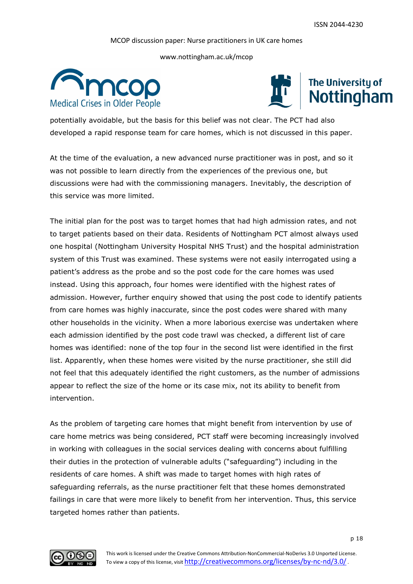www.nottingham.ac.uk/mcop





potentially avoidable, but the basis for this belief was not clear. The PCT had also developed a rapid response team for care homes, which is not discussed in this paper.

At the time of the evaluation, a new advanced nurse practitioner was in post, and so it was not possible to learn directly from the experiences of the previous one, but discussions were had with the commissioning managers. Inevitably, the description of this service was more limited.

The initial plan for the post was to target homes that had high admission rates, and not to target patients based on their data. Residents of Nottingham PCT almost always used one hospital (Nottingham University Hospital NHS Trust) and the hospital administration system of this Trust was examined. These systems were not easily interrogated using a patient"s address as the probe and so the post code for the care homes was used instead. Using this approach, four homes were identified with the highest rates of admission. However, further enquiry showed that using the post code to identify patients from care homes was highly inaccurate, since the post codes were shared with many other households in the vicinity. When a more laborious exercise was undertaken where each admission identified by the post code trawl was checked, a different list of care homes was identified: none of the top four in the second list were identified in the first list. Apparently, when these homes were visited by the nurse practitioner, she still did not feel that this adequately identified the right customers, as the number of admissions appear to reflect the size of the home or its case mix, not its ability to benefit from intervention.

As the problem of targeting care homes that might benefit from intervention by use of care home metrics was being considered, PCT staff were becoming increasingly involved in working with colleagues in the social services dealing with concerns about fulfilling their duties in the protection of vulnerable adults ("safeguarding") including in the residents of care homes. A shift was made to target homes with high rates of safeguarding referrals, as the nurse practitioner felt that these homes demonstrated failings in care that were more likely to benefit from her intervention. Thus, this service targeted homes rather than patients.

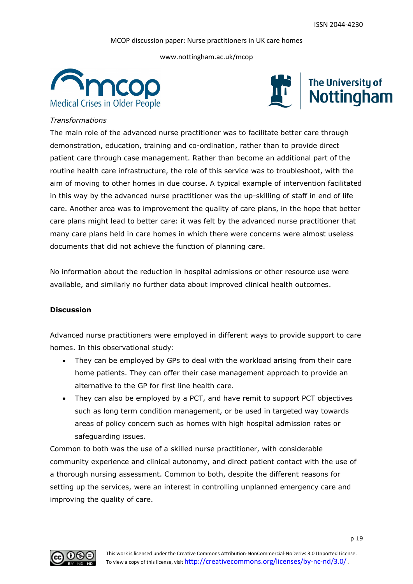www.nottingham.ac.uk/mcop





# *Transformations*

The main role of the advanced nurse practitioner was to facilitate better care through demonstration, education, training and co-ordination, rather than to provide direct patient care through case management. Rather than become an additional part of the routine health care infrastructure, the role of this service was to troubleshoot, with the aim of moving to other homes in due course. A typical example of intervention facilitated in this way by the advanced nurse practitioner was the up-skilling of staff in end of life care. Another area was to improvement the quality of care plans, in the hope that better care plans might lead to better care: it was felt by the advanced nurse practitioner that many care plans held in care homes in which there were concerns were almost useless documents that did not achieve the function of planning care.

No information about the reduction in hospital admissions or other resource use were available, and similarly no further data about improved clinical health outcomes.

# **Discussion**

Advanced nurse practitioners were employed in different ways to provide support to care homes. In this observational study:

- They can be employed by GPs to deal with the workload arising from their care home patients. They can offer their case management approach to provide an alternative to the GP for first line health care.
- They can also be employed by a PCT, and have remit to support PCT objectives such as long term condition management, or be used in targeted way towards areas of policy concern such as homes with high hospital admission rates or safeguarding issues.

Common to both was the use of a skilled nurse practitioner, with considerable community experience and clinical autonomy, and direct patient contact with the use of a thorough nursing assessment. Common to both, despite the different reasons for setting up the services, were an interest in controlling unplanned emergency care and improving the quality of care.

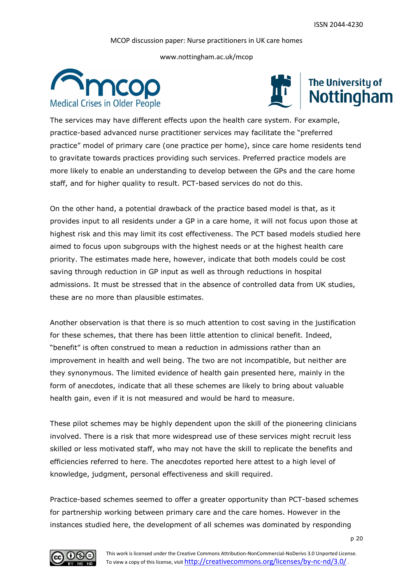www.nottingham.ac.uk/mcop





The services may have different effects upon the health care system. For example, practice-based advanced nurse practitioner services may facilitate the "preferred practice" model of primary care (one practice per home), since care home residents tend to gravitate towards practices providing such services. Preferred practice models are more likely to enable an understanding to develop between the GPs and the care home staff, and for higher quality to result. PCT-based services do not do this.

On the other hand, a potential drawback of the practice based model is that, as it provides input to all residents under a GP in a care home, it will not focus upon those at highest risk and this may limit its cost effectiveness. The PCT based models studied here aimed to focus upon subgroups with the highest needs or at the highest health care priority. The estimates made here, however, indicate that both models could be cost saving through reduction in GP input as well as through reductions in hospital admissions. It must be stressed that in the absence of controlled data from UK studies, these are no more than plausible estimates.

Another observation is that there is so much attention to cost saving in the justification for these schemes, that there has been little attention to clinical benefit. Indeed, "benefit" is often construed to mean a reduction in admissions rather than an improvement in health and well being. The two are not incompatible, but neither are they synonymous. The limited evidence of health gain presented here, mainly in the form of anecdotes, indicate that all these schemes are likely to bring about valuable health gain, even if it is not measured and would be hard to measure.

These pilot schemes may be highly dependent upon the skill of the pioneering clinicians involved. There is a risk that more widespread use of these services might recruit less skilled or less motivated staff, who may not have the skill to replicate the benefits and efficiencies referred to here. The anecdotes reported here attest to a high level of knowledge, judgment, personal effectiveness and skill required.

Practice-based schemes seemed to offer a greater opportunity than PCT-based schemes for partnership working between primary care and the care homes. However in the instances studied here, the development of all schemes was dominated by responding

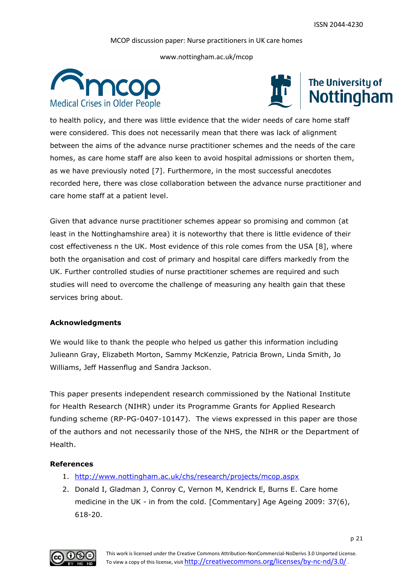www.nottingham.ac.uk/mcop





to health policy, and there was little evidence that the wider needs of care home staff were considered. This does not necessarily mean that there was lack of alignment between the aims of the advance nurse practitioner schemes and the needs of the care homes, as care home staff are also keen to avoid hospital admissions or shorten them, as we have previously noted [7]. Furthermore, in the most successful anecdotes recorded here, there was close collaboration between the advance nurse practitioner and care home staff at a patient level.

Given that advance nurse practitioner schemes appear so promising and common (at least in the Nottinghamshire area) it is noteworthy that there is little evidence of their cost effectiveness n the UK. Most evidence of this role comes from the USA [8], where both the organisation and cost of primary and hospital care differs markedly from the UK. Further controlled studies of nurse practitioner schemes are required and such studies will need to overcome the challenge of measuring any health gain that these services bring about.

# **Acknowledgments**

We would like to thank the people who helped us gather this information including Julieann Gray, Elizabeth Morton, Sammy McKenzie, Patricia Brown, Linda Smith, Jo Williams, Jeff Hassenflug and Sandra Jackson.

This paper presents independent research commissioned by the National Institute for Health Research (NIHR) under its Programme Grants for Applied Research funding scheme (RP-PG-0407-10147). The views expressed in this paper are those of the authors and not necessarily those of the NHS, the NIHR or the Department of Health.

# **References**

- 1. <http://www.nottingham.ac.uk/chs/research/projects/mcop.aspx>
- 2. Donald I, Gladman J, Conroy C, Vernon M, Kendrick E, Burns E. Care home medicine in the UK - in from the cold. [Commentary] Age Ageing 2009: 37(6), 618-20.